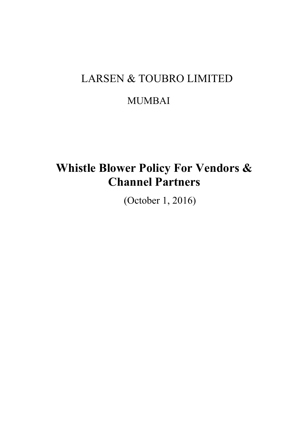# LARSEN & TOUBRO LIMITED

## MUMBAI

# **Whistle Blower Policy For Vendors & Channel Partners**

(October 1, 2016)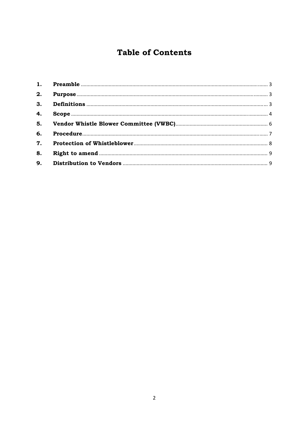## **Table of Contents**

| 4. |  |
|----|--|
|    |  |
|    |  |
|    |  |
| 8. |  |
|    |  |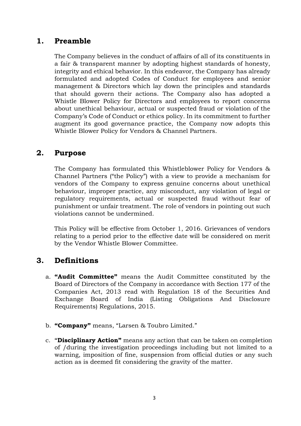## **1. Preamble**

The Company believes in the conduct of affairs of all of its constituents in a fair & transparent manner by adopting highest standards of honesty, integrity and ethical behavior. In this endeavor, the Company has already formulated and adopted Codes of Conduct for employees and senior management & Directors which lay down the principles and standards that should govern their actions. The Company also has adopted a Whistle Blower Policy for Directors and employees to report concerns about unethical behaviour, actual or suspected fraud or violation of the Company's Code of Conduct or ethics policy. In its commitment to further augment its good governance practice, the Company now adopts this Whistle Blower Policy for Vendors & Channel Partners.

## **2. Purpose**

The Company has formulated this Whistleblower Policy for Vendors & Channel Partners ("the Policy") with a view to provide a mechanism for vendors of the Company to express genuine concerns about unethical behaviour, improper practice, any misconduct, any violation of legal or regulatory requirements, actual or suspected fraud without fear of punishment or unfair treatment. The role of vendors in pointing out such violations cannot be undermined.

This Policy will be effective from October 1, 2016. Grievances of vendors relating to a period prior to the effective date will be considered on merit by the Vendor Whistle Blower Committee.

## **3. Definitions**

- a. **"Audit Committee"** means the Audit Committee constituted by the Board of Directors of the Company in accordance with Section 177 of the Companies Act, 2013 read with Regulation 18 of the Securities And Exchange Board of India (Listing Obligations And Disclosure Requirements) Regulations, 2015.
- b. **"Company"** means, "Larsen & Toubro Limited."
- c. **"Disciplinary Action"** means any action that can be taken on completion of /during the investigation proceedings including but not limited to a warning, imposition of fine, suspension from official duties or any such action as is deemed fit considering the gravity of the matter.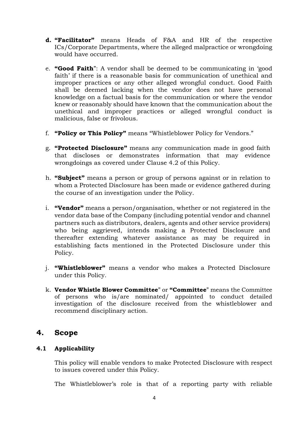- **d. "Facilitator"** means Heads of F&A and HR of the respective ICs/Corporate Departments, where the alleged malpractice or wrongdoing would have occurred.
- e. **"Good Faith**": A vendor shall be deemed to be communicating in 'good faith' if there is a reasonable basis for communication of unethical and improper practices or any other alleged wrongful conduct. Good Faith shall be deemed lacking when the vendor does not have personal knowledge on a factual basis for the communication or where the vendor knew or reasonably should have known that the communication about the unethical and improper practices or alleged wrongful conduct is malicious, false or frivolous.
- f. **"Policy or This Policy"** means "Whistleblower Policy for Vendors."
- g. **"Protected Disclosure"** means any communication made in good faith that discloses or demonstrates information that may evidence wrongdoings as covered under Clause 4.2 of this Policy.
- h. **"Subject"** means a person or group of persons against or in relation to whom a Protected Disclosure has been made or evidence gathered during the course of an investigation under the Policy.
- i. **"Vendor"** means a person/organisation, whether or not registered in the vendor data base of the Company (including potential vendor and channel partners such as distributors, dealers, agents and other service providers) who being aggrieved, intends making a Protected Disclosure and thereafter extending whatever assistance as may be required in establishing facts mentioned in the Protected Disclosure under this Policy.
- j. **"Whistleblower"** means a vendor who makes a Protected Disclosure under this Policy.
- k. **Vendor Whistle Blower Committee**" or **"Committee**" means the Committee of persons who is/are nominated/ appointed to conduct detailed investigation of the disclosure received from the whistleblower and recommend disciplinary action.

## **4. Scope**

#### **4.1 Applicability**

This policy will enable vendors to make Protected Disclosure with respect to issues covered under this Policy.

The Whistleblower's role is that of a reporting party with reliable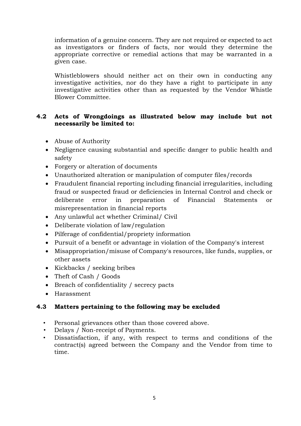information of a genuine concern. They are not required or expected to act as investigators or finders of facts, nor would they determine the appropriate corrective or remedial actions that may be warranted in a given case.

 Whistleblowers should neither act on their own in conducting any investigative activities, nor do they have a right to participate in any investigative activities other than as requested by the Vendor Whistle Blower Committee.

#### **4.2 Acts of Wrongdoings as illustrated below may include but not necessarily be limited to:**

- Abuse of Authority
- Negligence causing substantial and specific danger to public health and safety
- Forgery or alteration of documents
- Unauthorized alteration or manipulation of computer files/records
- Fraudulent financial reporting including financial irregularities, including fraud or suspected fraud or deficiencies in Internal Control and check or deliberate error in preparation of Financial Statements or misrepresentation in financial reports
- Any unlawful act whether Criminal/ Civil
- Deliberate violation of law/regulation
- Pilferage of confidential/propriety information
- Pursuit of a benefit or advantage in violation of the Company's interest
- Misappropriation/misuse of Company's resources, like funds, supplies, or other assets
- Kickbacks / seeking bribes
- Theft of Cash / Goods
- Breach of confidentiality / secrecy pacts
- Harassment

#### **4.3 Matters pertaining to the following may be excluded**

- Personal grievances other than those covered above.
- Delays / Non-receipt of Payments.
- Dissatisfaction, if any, with respect to terms and conditions of the contract(s) agreed between the Company and the Vendor from time to time.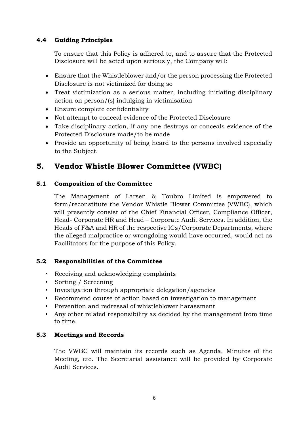#### **4.4 Guiding Principles**

To ensure that this Policy is adhered to, and to assure that the Protected Disclosure will be acted upon seriously, the Company will:

- Ensure that the Whistleblower and/or the person processing the Protected Disclosure is not victimized for doing so
- Treat victimization as a serious matter, including initiating disciplinary action on person/(s) indulging in victimisation
- Ensure complete confidentiality
- Not attempt to conceal evidence of the Protected Disclosure
- Take disciplinary action, if any one destroys or conceals evidence of the Protected Disclosure made/to be made
- Provide an opportunity of being heard to the persons involved especially to the Subject.

## **5. Vendor Whistle Blower Committee (VWBC)**

#### **5.1 Composition of the Committee**

The Management of Larsen & Toubro Limited is empowered to form/reconstitute the Vendor Whistle Blower Committee (VWBC), which will presently consist of the Chief Financial Officer, Compliance Officer, Head- Corporate HR and Head – Corporate Audit Services. In addition, the Heads of F&A and HR of the respective ICs/Corporate Departments, where the alleged malpractice or wrongdoing would have occurred, would act as Facilitators for the purpose of this Policy.

#### **5.2 Responsibilities of the Committee**

- Receiving and acknowledging complaints
- Sorting / Screening
- Investigation through appropriate delegation/agencies
- Recommend course of action based on investigation to management
- Prevention and redressal of whistleblower harassment
- Any other related responsibility as decided by the management from time to time.

### **5.3 Meetings and Records**

The VWBC will maintain its records such as Agenda, Minutes of the Meeting, etc. The Secretarial assistance will be provided by Corporate Audit Services.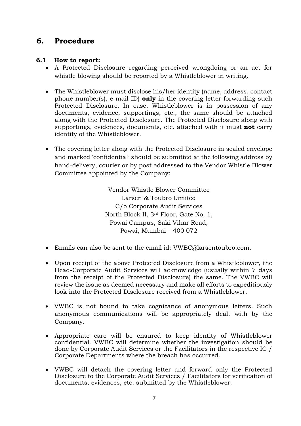## **6. Procedure**

#### **6.1 How to report:**

- A Protected Disclosure regarding perceived wrongdoing or an act for whistle blowing should be reported by a Whistleblower in writing.
- The Whistleblower must disclose his/her identity (name, address, contact phone number(s), e-mail ID) **only** in the covering letter forwarding such Protected Disclosure. In case, Whistleblower is in possession of any documents, evidence, supportings, etc., the same should be attached along with the Protected Disclosure. The Protected Disclosure along with supportings, evidences, documents, etc. attached with it must **not** carry identity of the Whistleblower.
- The covering letter along with the Protected Disclosure in sealed envelope and marked 'confidential' should be submitted at the following address by hand-delivery, courier or by post addressed to the Vendor Whistle Blower Committee appointed by the Company:

Vendor Whistle Blower Committee Larsen & Toubro Limited C/o Corporate Audit Services North Block II, 3rd Floor, Gate No. 1, Powai Campus, Saki Vihar Road, Powai, Mumbai – 400 072

- Emails can also be sent to the email id: VWBC@larsentoubro.com.
- Upon receipt of the above Protected Disclosure from a Whistleblower, the Head-Corporate Audit Services will acknowledge (usually within 7 days from the receipt of the Protected Disclosure) the same. The VWBC will review the issue as deemed necessary and make all efforts to expeditiously look into the Protected Disclosure received from a Whistleblower.
- VWBC is not bound to take cognizance of anonymous letters. Such anonymous communications will be appropriately dealt with by the Company.
- Appropriate care will be ensured to keep identity of Whistleblower confidential. VWBC will determine whether the investigation should be done by Corporate Audit Services or the Facilitators in the respective IC / Corporate Departments where the breach has occurred.
- VWBC will detach the covering letter and forward only the Protected Disclosure to the Corporate Audit Services / Facilitators for verification of documents, evidences, etc. submitted by the Whistleblower.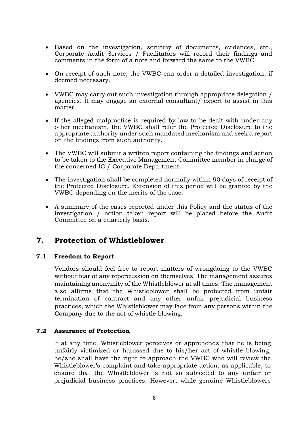- Based on the investigation, scrutiny of documents, evidences, etc., Corporate Audit Services / Facilitators will record their findings and comments in the form of a note and forward the same to the VWBC.
- On receipt of such note, the VWBC can order a detailed investigation, if deemed necessary.
- VWBC may carry out such investigation through appropriate delegation / agencies. It may engage an external consultant/ expert to assist in this matter.
- If the alleged malpractice is required by law to be dealt with under any other mechanism, the VWBC shall refer the Protected Disclosure to the appropriate authority under such mandated mechanism and seek a report on the findings from such authority.
- The VWBC will submit a written report containing the findings and action to be taken to the Executive Management Committee member in charge of the concerned IC / Corporate Department.
- The investigation shall be completed normally within 90 days of receipt of the Protected Disclosure. Extension of this period will be granted by the VWBC depending on the merits of the case.
- A summary of the cases reported under this Policy and the status of the investigation / action taken report will be placed before the Audit Committee on a quarterly basis.

## **7. Protection of Whistleblower**

#### **7.1 Freedom to Report**

Vendors should feel free to report matters of wrongdoing to the VWBC without fear of any repercussion on themselves. The management assures maintaining anonymity of the Whistleblower at all times. The management also affirms that the Whistleblower shall be protected from unfair termination of contract and any other unfair prejudicial business practices, which the Whistleblower may face from any persons within the Company due to the act of whistle blowing.

#### **7.2 Assurance of Protection**

If at any time, Whistleblower perceives or apprehends that he is being unfairly victimized or harassed due to his/her act of whistle blowing, he/she shall have the right to approach the VWBC who will review the Whistleblower's complaint and take appropriate action, as applicable, to ensure that the Whistleblower is not so subjected to any unfair or prejudicial business practices. However, while genuine Whistleblowers